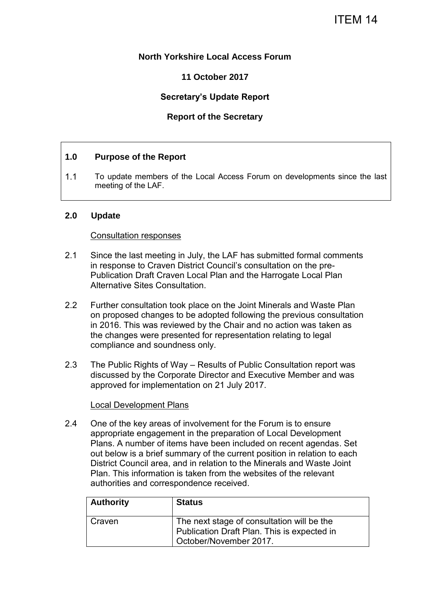# **North Yorkshire Local Access Forum**

# **11 October 2017**

# **Secretary's Update Report**

# **Report of the Secretary**

### **1.0 Purpose of the Report**

1.1 To update members of the Local Access Forum on developments since the last meeting of the LAF.

### **2.0 Update**

#### Consultation responses

- 2.1 Since the last meeting in July, the LAF has submitted formal comments in response to Craven District Council's consultation on the pre-Publication Draft Craven Local Plan and the Harrogate Local Plan Alternative Sites Consultation.
- 2.2 Further consultation took place on the Joint Minerals and Waste Plan on proposed changes to be adopted following the previous consultation in 2016. This was reviewed by the Chair and no action was taken as the changes were presented for representation relating to legal compliance and soundness only.
- 2.3 The Public Rights of Way Results of Public Consultation report was discussed by the Corporate Director and Executive Member and was approved for implementation on 21 July 2017.

#### Local Development Plans

2.4 One of the key areas of involvement for the Forum is to ensure appropriate engagement in the preparation of Local Development Plans. A number of items have been included on recent agendas. Set out below is a brief summary of the current position in relation to each District Council area, and in relation to the Minerals and Waste Joint Plan. This information is taken from the websites of the relevant authorities and correspondence received.

| <b>Authority</b> | <b>Status</b>                                                                                                      |
|------------------|--------------------------------------------------------------------------------------------------------------------|
| Craven           | The next stage of consultation will be the<br>Publication Draft Plan. This is expected in<br>October/November 2017 |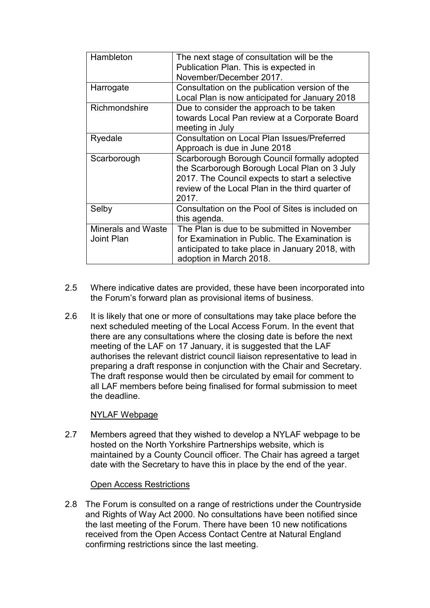| Hambleton                               | The next stage of consultation will be the<br>Publication Plan. This is expected in<br>November/December 2017.                                                                                              |
|-----------------------------------------|-------------------------------------------------------------------------------------------------------------------------------------------------------------------------------------------------------------|
| Harrogate                               | Consultation on the publication version of the<br>Local Plan is now anticipated for January 2018                                                                                                            |
| Richmondshire                           | Due to consider the approach to be taken<br>towards Local Pan review at a Corporate Board<br>meeting in July                                                                                                |
| Ryedale                                 | <b>Consultation on Local Plan Issues/Preferred</b><br>Approach is due in June 2018                                                                                                                          |
| Scarborough                             | Scarborough Borough Council formally adopted<br>the Scarborough Borough Local Plan on 3 July<br>2017. The Council expects to start a selective<br>review of the Local Plan in the third quarter of<br>2017. |
| Selby                                   | Consultation on the Pool of Sites is included on<br>this agenda.                                                                                                                                            |
| <b>Minerals and Waste</b><br>Joint Plan | The Plan is due to be submitted in November<br>for Examination in Public. The Examination is<br>anticipated to take place in January 2018, with<br>adoption in March 2018.                                  |

- 2.5 Where indicative dates are provided, these have been incorporated into the Forum's forward plan as provisional items of business.
- 2.6 It is likely that one or more of consultations may take place before the next scheduled meeting of the Local Access Forum. In the event that there are any consultations where the closing date is before the next meeting of the LAF on 17 January, it is suggested that the LAF authorises the relevant district council liaison representative to lead in preparing a draft response in conjunction with the Chair and Secretary. The draft response would then be circulated by email for comment to all LAF members before being finalised for formal submission to meet the deadline.

## NYLAF Webpage

2.7 Members agreed that they wished to develop a NYLAF webpage to be hosted on the North Yorkshire Partnerships website, which is maintained by a County Council officer. The Chair has agreed a target date with the Secretary to have this in place by the end of the year.

## Open Access Restrictions

2.8 The Forum is consulted on a range of restrictions under the Countryside and Rights of Way Act 2000. No consultations have been notified since the last meeting of the Forum. There have been 10 new notifications received from the Open Access Contact Centre at Natural England confirming restrictions since the last meeting.